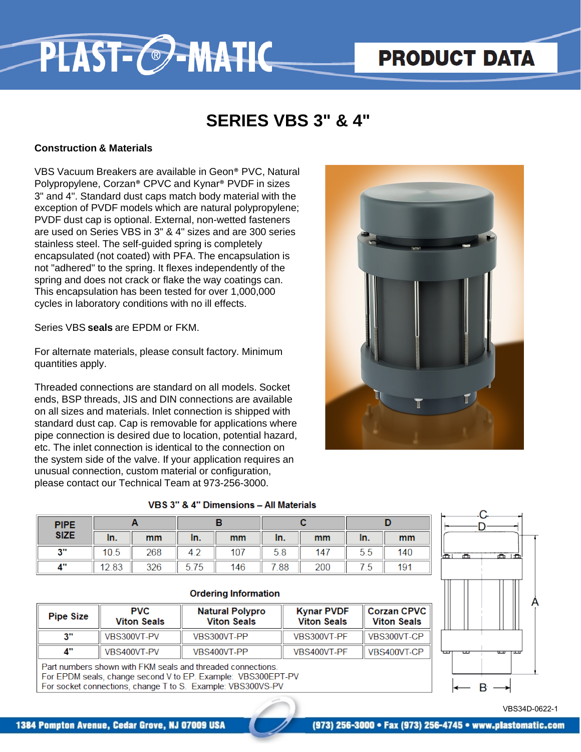# **PRODUCT DATA**

### **SERIES VBS 3" & 4"**

#### **Construction & Materials**

VBS Vacuum Breakers are available in Geon® PVC, Natural Polypropylene, Corzan® CPVC and Kynar® PVDF in sizes 3" and 4". Standard dust caps match body material with the exception of PVDF models which are natural polypropylene; PVDF dust cap is optional. External, non-wetted fasteners are used on Series VBS in 3" & 4" sizes and are 300 series stainless steel. The self-guided spring is completely encapsulated (not coated) with PFA. The encapsulation is not "adhered" to the spring. It flexes independently of the spring and does not crack or flake the way coatings can. This encapsulation has been tested for over 1,000,000 cycles in laboratory conditions with no ill effects.

PLAST-C-MATIC

Series VBS **seals** are EPDM or FKM.

For alternate materials, please consult factory. Minimum quantities apply.

Threaded connections are standard on all models. Socket ends, BSP threads, JIS and DIN connections are available on all sizes and materials. Inlet connection is shipped with standard dust cap. Cap is removable for applications where pipe connection is desired due to location, potential hazard, etc. The inlet connection is identical to the connection on the system side of the valve. If your application requires an unusual connection, custom material or configuration, please contact our Technical Team at 973-256-3000.



#### VBS 3" & 4" Dimensions - All Materials

| <b>PIPE</b> |       |     |      |     |      |     |     |     |
|-------------|-------|-----|------|-----|------|-----|-----|-----|
| <b>SIZE</b> | In.   | mm  | In.  | mm  | In.  | mm  | In. | mm  |
| - 11<br>J   | 10.5  | 268 | 4.2  | 107 | 5.8  | 147 | 5.5 | 140 |
| 4"          | 12.83 | 326 | 5.75 | 146 | 7.88 | 200 | 75  | 191 |

#### **Ordering Information**

| <b>Pipe Size</b> | <b>PVC</b><br><b>Viton Seals</b> | <b>Natural Polypro</b><br><b>Viton Seals</b> | <b>Kynar PVDF</b><br><b>Viton Seals</b> | Corzan CPVC <br><b>Viton Seals</b> |
|------------------|----------------------------------|----------------------------------------------|-----------------------------------------|------------------------------------|
| a.               | VBS300VT-PV                      | VBS300VT-PP                                  | VBS300VT-PF                             | VBS300VT-CP                        |
| Л"               | VBS400VT-PV                      | VBS400VT-PP                                  | VBS400VT-PF                             | VBS400VT-CP                        |

Part numbers shown with FKM seals and threaded connections. For EPDM seals, change second V to EP. Example: VBS300EPT-PV For socket connections, change T to S. Example: VBS300VS-PV



VBS34D-0622-1